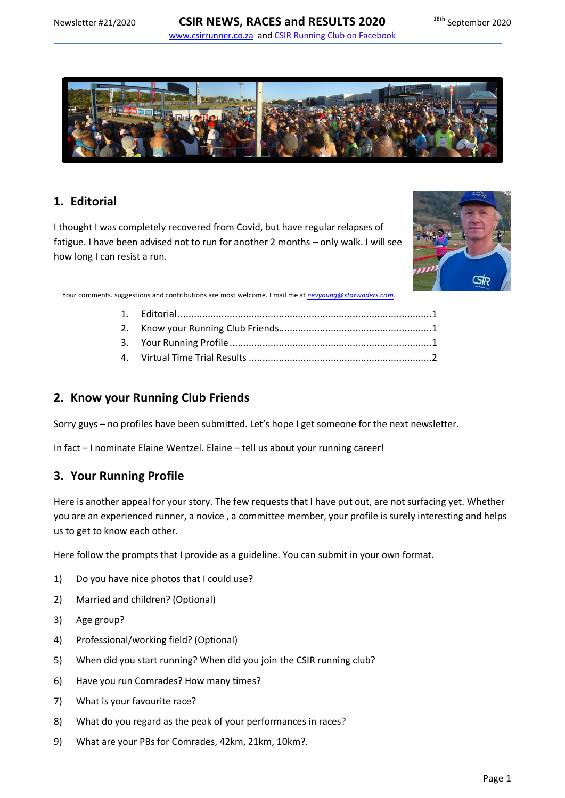

# <span id="page-0-0"></span>**1. Editorial**

I thought I was completely recovered from Covid, but have regular relapses of fatigue. I have been advised not to run for another 2 months – only walk. I will see how long I can resist a run.



Your comments. suggestions and contributions are most welcome. Email me at *[nevyoung@starwaders.com](mailto:nevyoung@starwaders.com)*.

### <span id="page-0-1"></span>**2. Know your Running Club Friends**

Sorry guys – no profiles have been submitted. Let's hope I get someone for the next newsletter.

In fact – I nominate Elaine Wentzel. Elaine – tell us about your running career!

# <span id="page-0-2"></span>**3. Your Running Profile**

Here is another appeal for your story. The few requests that I have put out, are not surfacing yet. Whether you are an experienced runner, a novice , a committee member, your profile is surely interesting and helps us to get to know each other.

Here follow the prompts that I provide as a guideline. You can submit in your own format.

- 1) Do you have nice photos that I could use?
- 2) Married and children? (Optional)
- 3) Age group?
- 4) Professional/working field? (Optional)
- 5) When did you start running? When did you join the CSIR running club?
- 6) Have you run Comrades? How many times?
- 7) What is your favourite race?
- 8) What do you regard as the peak of your performances in races?
- 9) What are your PBs for Comrades, 42km, 21km, 10km?.